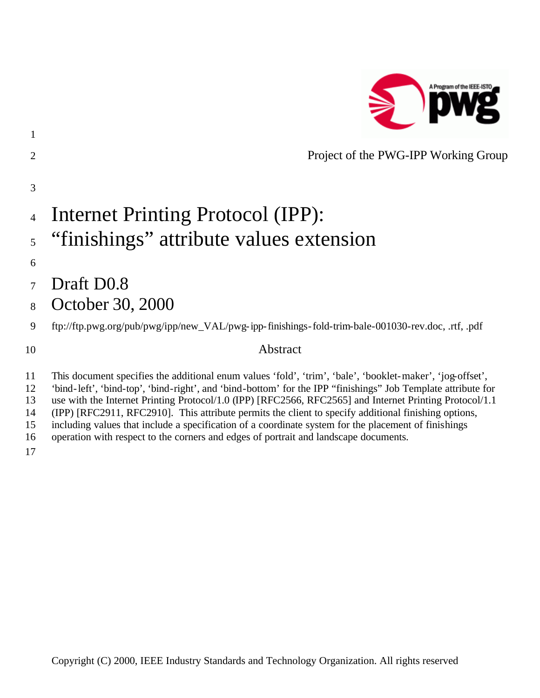

|                | Project of the PWG-IPP Working Group                                                               |
|----------------|----------------------------------------------------------------------------------------------------|
| 3              |                                                                                                    |
| $\overline{4}$ | Internet Printing Protocol (IPP):                                                                  |
|                | <sup>5</sup> "finishings" attribute values extension                                               |
| 6              |                                                                                                    |
| 7              | Draft D <sub>0.8</sub>                                                                             |
| 8              | October 30, 2000                                                                                   |
| 9              | ftp://ftp.pwg.org/pub/pwg/ipp/new_VAL/pwg-ipp-finishings-fold-trim-bale-001030-rev.doc, .rtf, .pdf |
| 10             | Abstract                                                                                           |

 This document specifies the additional enum values 'fold', 'trim', 'bale', 'booklet-maker', 'jog-offset', 'bind-left', 'bind-top', 'bind-right', and 'bind-bottom' for the IPP "finishings" Job Template attribute for use with the Internet Printing Protocol/1.0 (IPP) [RFC2566, RFC2565] and Internet Printing Protocol/1.1 (IPP) [RFC2911, RFC2910]. This attribute permits the client to specify additional finishing options, including values that include a specification of a coordinate system for the placement of finishings operation with respect to the corners and edges of portrait and landscape documents.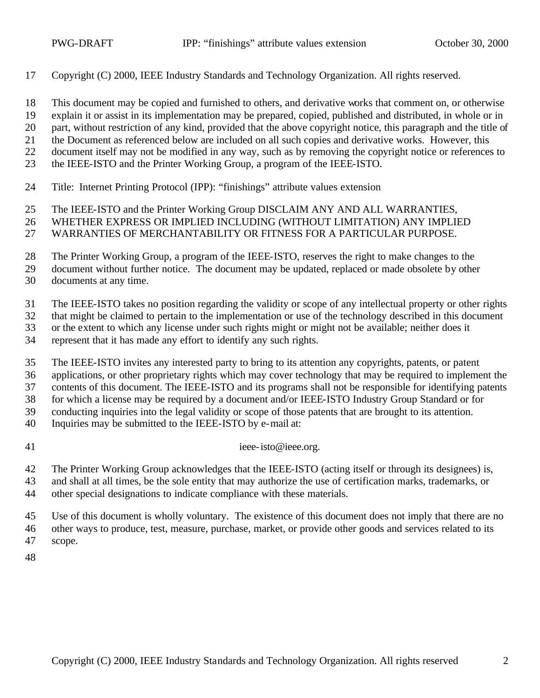Copyright (C) 2000, IEEE Industry Standards and Technology Organization. All rights reserved.

This document may be copied and furnished to others, and derivative works that comment on, or otherwise

- explain it or assist in its implementation may be prepared, copied, published and distributed, in whole or in
- part, without restriction of any kind, provided that the above copyright notice, this paragraph and the title of
- the Document as referenced below are included on all such copies and derivative works. However, this
- document itself may not be modified in any way, such as by removing the copyright notice or references to
- the IEEE-ISTO and the Printer Working Group, a program of the IEEE-ISTO.
- Title: Internet Printing Protocol (IPP): "finishings" attribute values extension
- The IEEE-ISTO and the Printer Working Group DISCLAIM ANY AND ALL WARRANTIES,
- WHETHER EXPRESS OR IMPLIED INCLUDING (WITHOUT LIMITATION) ANY IMPLIED
- WARRANTIES OF MERCHANTABILITY OR FITNESS FOR A PARTICULAR PURPOSE.

The Printer Working Group, a program of the IEEE-ISTO, reserves the right to make changes to the

document without further notice. The document may be updated, replaced or made obsolete by other

documents at any time.

The IEEE-ISTO takes no position regarding the validity or scope of any intellectual property or other rights

that might be claimed to pertain to the implementation or use of the technology described in this document

or the extent to which any license under such rights might or might not be available; neither does it

represent that it has made any effort to identify any such rights.

The IEEE-ISTO invites any interested party to bring to its attention any copyrights, patents, or patent

applications, or other proprietary rights which may cover technology that may be required to implement the

contents of this document. The IEEE-ISTO and its programs shall not be responsible for identifying patents

for which a license may be required by a document and/or IEEE-ISTO Industry Group Standard or for

conducting inquiries into the legal validity or scope of those patents that are brought to its attention.

- Inquiries may be submitted to the IEEE-ISTO by e-mail at:
- 

41 ieee-isto@ieee.org.

The Printer Working Group acknowledges that the IEEE-ISTO (acting itself or through its designees) is,

- and shall at all times, be the sole entity that may authorize the use of certification marks, trademarks, or
- other special designations to indicate compliance with these materials.
- Use of this document is wholly voluntary. The existence of this document does not imply that there are no other ways to produce, test, measure, purchase, market, or provide other goods and services related to its scope.
-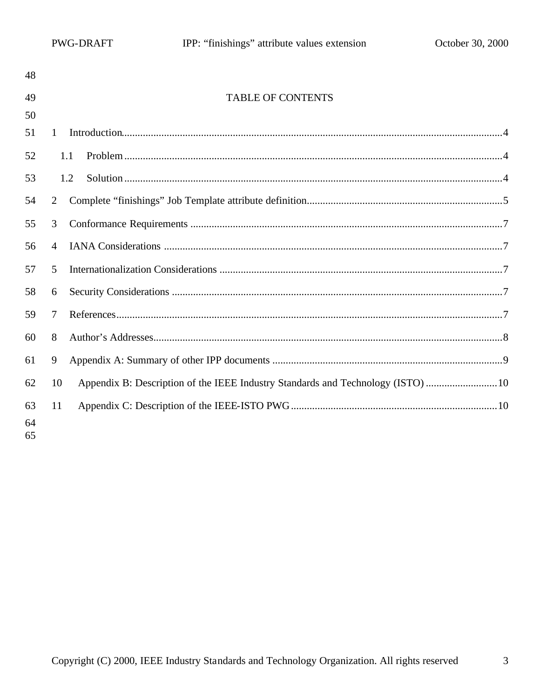| 48       |                |                                                                                 |  |
|----------|----------------|---------------------------------------------------------------------------------|--|
| 49       |                | <b>TABLE OF CONTENTS</b>                                                        |  |
| 50       |                |                                                                                 |  |
| 51       | $\mathbf{1}$   |                                                                                 |  |
| 52       |                | 1.1                                                                             |  |
| 53       |                | 1.2                                                                             |  |
| 54       | 2              |                                                                                 |  |
| 55       | 3              |                                                                                 |  |
| 56       | $\overline{4}$ |                                                                                 |  |
| 57       | 5              |                                                                                 |  |
| 58       | 6              |                                                                                 |  |
| 59       | 7              |                                                                                 |  |
| 60       | 8              |                                                                                 |  |
| 61       | 9              |                                                                                 |  |
| 62       | 10             | Appendix B: Description of the IEEE Industry Standards and Technology (ISTO) 10 |  |
| 63       | 11             |                                                                                 |  |
| 64<br>65 |                |                                                                                 |  |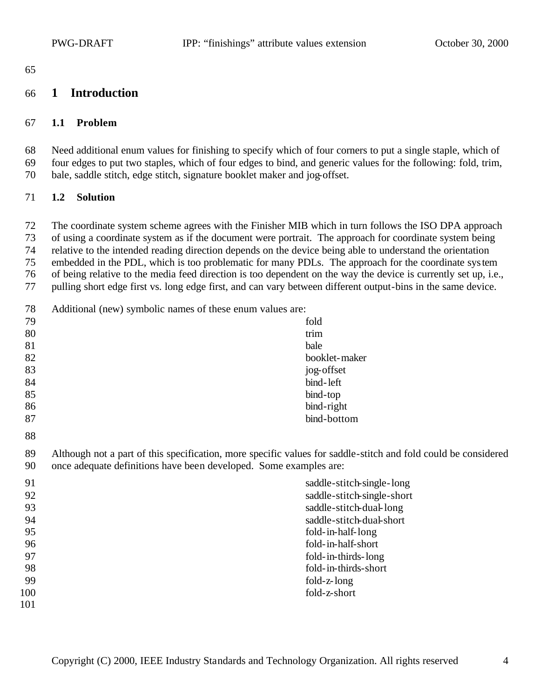#### **1 Introduction**

#### **1.1 Problem**

 Need additional enum values for finishing to specify which of four corners to put a single staple, which of four edges to put two staples, which of four edges to bind, and generic values for the following: fold, trim, bale, saddle stitch, edge stitch, signature booklet maker and jog-offset.

#### **1.2 Solution**

The coordinate system scheme agrees with the Finisher MIB which in turn follows the ISO DPA approach

of using a coordinate system as if the document were portrait. The approach for coordinate system being

relative to the intended reading direction depends on the device being able to understand the orientation

 embedded in the PDL, which is too problematic for many PDLs. The approach for the coordinate system of being relative to the media feed direction is too dependent on the way the device is currently set up, i.e.,

pulling short edge first vs. long edge first, and can vary between different output-bins in the same device.

Additional (new) symbolic names of these enum values are:

| 79 | fold                                                                                                           |  |
|----|----------------------------------------------------------------------------------------------------------------|--|
| 80 | trim                                                                                                           |  |
| 81 | bale                                                                                                           |  |
| 82 | booklet-maker                                                                                                  |  |
| 83 | jog-offset                                                                                                     |  |
| 84 | bind-left                                                                                                      |  |
| 85 | bind-top                                                                                                       |  |
| 86 | bind-right                                                                                                     |  |
| 87 | bind-bottom                                                                                                    |  |
| 88 |                                                                                                                |  |
| 89 | Although not a part of this specification, more specific values for saddle-stitch and fold could be considered |  |
| 90 | once adequate definitions have been developed. Some examples are:                                              |  |
| 91 | saddle-stitch-single-long                                                                                      |  |
| 92 | saddle-stitch-single-short                                                                                     |  |
| 93 | saddle-stitch-dual-long                                                                                        |  |
| 94 | saddle-stitch-dual-short                                                                                       |  |
| 95 | fold-in-half-long                                                                                              |  |
| 96 | fold-in-half-short                                                                                             |  |
| 97 | fold-in-thirds-long                                                                                            |  |
| 98 | fold-in-thirds-short                                                                                           |  |
| 99 | fold-z-long                                                                                                    |  |

fold-z-short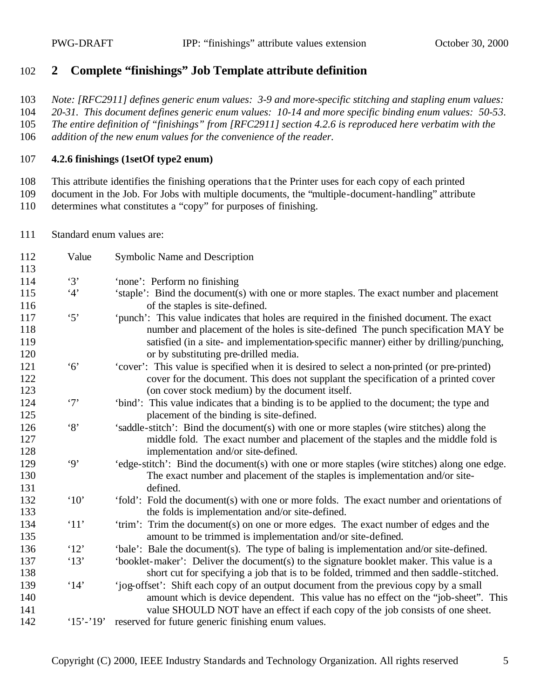#### **2 Complete "finishings" Job Template attribute definition**

*Note: [RFC2911] defines generic enum values: 3-9 and more-specific stitching and stapling enum values:* 

*20-31. This document defines generic enum values: 10-14 and more specific binding enum values: 50-53.* 

*The entire definition of "finishings" from [RFC2911] section 4.2.6 is reproduced here verbatim with the* 

*addition of the new enum values for the convenience of the reader.*

#### **4.2.6 finishings (1setOf type2 enum)**

This attribute identifies the finishing operations tha t the Printer uses for each copy of each printed

 document in the Job. For Jobs with multiple documents, the "multiple-document-handling" attribute determines what constitutes a "copy" for purposes of finishing.

Standard enum values are:

| 112<br>113               | Value                | Symbolic Name and Description                                                                                                                                                                                                                                                                                    |
|--------------------------|----------------------|------------------------------------------------------------------------------------------------------------------------------------------------------------------------------------------------------------------------------------------------------------------------------------------------------------------|
| 114                      | $\cdot$ 3'           | 'none': Perform no finishing                                                                                                                                                                                                                                                                                     |
| 115<br>116               | 4'                   | 'staple': Bind the document(s) with one or more staples. The exact number and placement<br>of the staples is site-defined.                                                                                                                                                                                       |
| 117<br>118<br>119<br>120 | $\cdot$ 5'           | 'punch': This value indicates that holes are required in the finished document. The exact<br>number and placement of the holes is site-defined The punch specification MAY be<br>satisfied (in a site- and implementation-specific manner) either by drilling/punching,<br>or by substituting pre-drilled media. |
| 121<br>122<br>123        | 6'                   | 'cover': This value is specified when it is desired to select a non-printed (or pre-printed)<br>cover for the document. This does not supplant the specification of a printed cover<br>(on cover stock medium) by the document itself.                                                                           |
| 124<br>125               | $\cdot$ 7'           | 'bind': This value indicates that a binding is to be applied to the document; the type and<br>placement of the binding is site-defined.                                                                                                                                                                          |
| 126<br>127<br>128        | $\cdot_8$            | 'saddle-stitch': Bind the document(s) with one or more staples (wire stitches) along the<br>middle fold. The exact number and placement of the staples and the middle fold is<br>implementation and/or site-defined.                                                                                             |
| 129<br>130<br>131        | $\cdot$ 9'           | 'edge-stitch': Bind the document(s) with one or more staples (wire stitches) along one edge.<br>The exact number and placement of the staples is implementation and/or site-<br>defined.                                                                                                                         |
| 132<br>133               | $^{\circ}10^{\circ}$ | 'fold': Fold the document(s) with one or more folds. The exact number and orientations of<br>the folds is implementation and/or site-defined.                                                                                                                                                                    |
| 134<br>135               | '11'                 | 'trim': Trim the document(s) on one or more edges. The exact number of edges and the<br>amount to be trimmed is implementation and/or site-defined.                                                                                                                                                              |
| 136                      | '12'                 | 'bale': Bale the document(s). The type of baling is implementation and/or site-defined.                                                                                                                                                                                                                          |
| 137<br>138               | '13'                 | 'booklet-maker': Deliver the document(s) to the signature booklet maker. This value is a<br>short cut for specifying a job that is to be folded, trimmed and then saddle-stitched.                                                                                                                               |
| 139<br>140<br>141        | $^{\circ}14'$        | 'jog-offset': Shift each copy of an output document from the previous copy by a small<br>amount which is device dependent. This value has no effect on the "job-sheet". This<br>value SHOULD NOT have an effect if each copy of the job consists of one sheet.                                                   |
| 142                      | $15' - 19'$          | reserved for future generic finishing enum values.                                                                                                                                                                                                                                                               |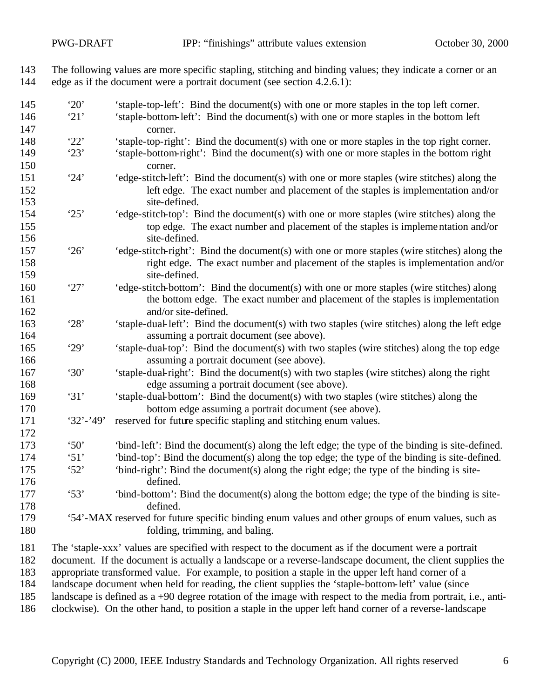The following values are more specific stapling, stitching and binding values; they indicate a corner or an edge as if the document were a portrait document (see section 4.2.6.1):

- <sup>145</sup> '20' 'staple-top-left': Bind the document(s) with one or more staples in the top left corner.<br><sup>146</sup> '21' 'staple-bottom-left': Bind the document(s) with one or more staples in the bottom left '21' 'staple-bottom-left': Bind the document(s) with one or more staples in the bottom left corner. '22' 'staple-top-right': Bind the document(s) with one or more staples in the top right corner. '23' 'staple-bottom-right': Bind the document(s) with one or more staples in the bottom right corner. '24' 'edge-stitch-left': Bind the document(s) with one or more staples (wire stitches) along the left edge. The exact number and placement of the staples is implementation and/or 153 site-defined.<br>154 '25' 'edge-stitch-top': B '25' 'edge-stitch-top': Bind the document(s) with one or more staples (wire stitches) along the top edge. The exact number and placement of the staples is implementation and/or 156 site-defined. '26' 'edge-stitch-right': Bind the document(s) with one or more staples (wire stitches) along the right edge. The exact number and placement of the staples is implementation and/or 159 site-defined. '27' 'edge-stitch-bottom': Bind the document(s) with one or more staples (wire stitches) along the bottom edge. The exact number and placement of the staples is implementation 162 and/or site-defined. '28' 'staple-dual-left': Bind the document(s) with two staples (wire stitches) along the left edge assuming a portrait document (see above). '29' 'staple-dual-top': Bind the document(s) with two staples (wire stitches) along the top edge assuming a portrait document (see above). '30' 'staple-dual-right': Bind the document(s) with two staples (wire stitches) along the right edge assuming a portrait document (see above). '31' 'staple-dual-bottom': Bind the document(s) with two staples (wire stitches) along the bottom edge assuming a portrait document (see above). '32'-'49' reserved for future specific stapling and stitching enum values. '50' 'bind-left': Bind the document(s) along the left edge; the type of the binding is site-defined. '51' 'bind-top': Bind the document(s) along the top edge; the type of the binding is site-defined. '52' 'bind-right': Bind the document(s) along the right edge; the type of the binding is site- defined. '53' 'bind-bottom': Bind the document(s) along the bottom edge; the type of the binding is site- defined. '54'-MAX reserved for future specific binding enum values and other groups of enum values, such as 180 folding, trimming, and baling. The 'staple-xxx' values are specified with respect to the document as if the document were a portrait document. If the document is actually a landscape or a reverse-landscape document, the client supplies the appropriate transformed value. For example, to position a staple in the upper left hand corner of a landscape document when held for reading, the client supplies the 'staple-bottom-left' value (since landscape is defined as a +90 degree rotation of the image with respect to the media from portrait, i.e., anti-
- clockwise). On the other hand, to position a staple in the upper left hand corner of a reverse-landscape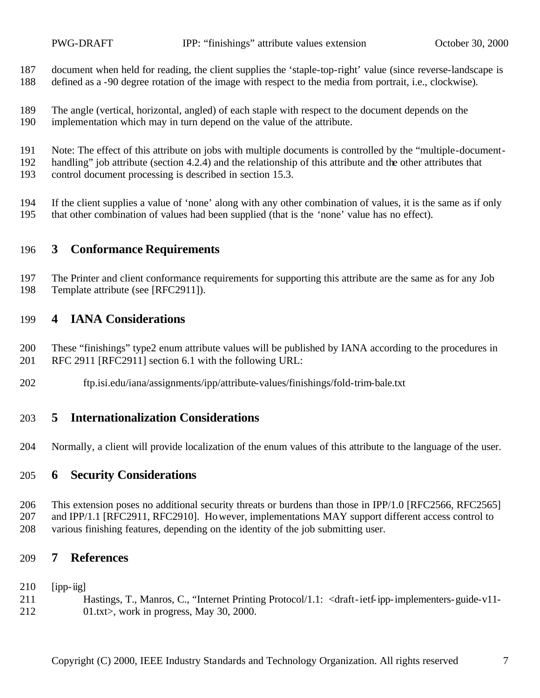document when held for reading, the client supplies the 'staple-top-right' value (since reverse-landscape is defined as a -90 degree rotation of the image with respect to the media from portrait, i.e., clockwise).

- The angle (vertical, horizontal, angled) of each staple with respect to the document depends on the
- implementation which may in turn depend on the value of the attribute.
- Note: The effect of this attribute on jobs with multiple documents is controlled by the "multiple-document-
- handling" job attribute (section 4.2.4) and the relationship of this attribute and the other attributes that
- control document processing is described in section 15.3.
- If the client supplies a value of 'none' along with any other combination of values, it is the same as if only that other combination of values had been supplied (that is the 'none' value has no effect).

# **3 Conformance Requirements**

 The Printer and client conformance requirements for supporting this attribute are the same as for any Job Template attribute (see [RFC2911]).

# **4 IANA Considerations**

- These "finishings" type2 enum attribute values will be published by IANA according to the procedures in RFC 2911 [RFC2911] section 6.1 with the following URL:
- ftp.isi.edu/iana/assignments/ipp/attribute-values/finishings/fold-trim-bale.txt

## **5 Internationalization Considerations**

Normally, a client will provide localization of the enum values of this attribute to the language of the user.

## **6 Security Considerations**

 This extension poses no additional security threats or burdens than those in IPP/1.0 [RFC2566, RFC2565] 207 and IPP/1.1 [RFC2911, RFC2910]. However, implementations MAY support different access control to various finishing features, depending on the identity of the job submitting user.

## **7 References**

- [ipp-iig]
- Hastings, T., Manros, C., "Internet Printing Protocol/1.1: <draft-ietf-ipp-implementers-guide-v11- 01.txt>, work in progress, May 30, 2000.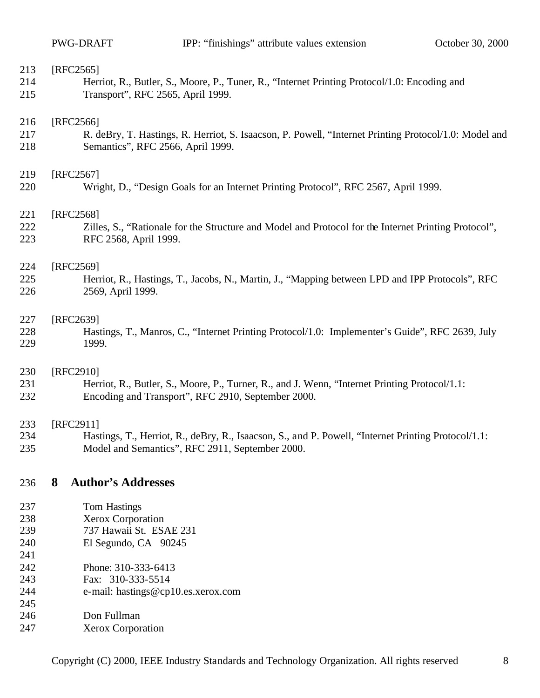| 213 | [RFC2565]                                                                                             |  |  |
|-----|-------------------------------------------------------------------------------------------------------|--|--|
| 214 | Herriot, R., Butler, S., Moore, P., Tuner, R., "Internet Printing Protocol/1.0: Encoding and          |  |  |
| 215 | Transport", RFC 2565, April 1999.                                                                     |  |  |
| 216 | [RFC2566]                                                                                             |  |  |
| 217 | R. deBry, T. Hastings, R. Herriot, S. Isaacson, P. Powell, "Internet Printing Protocol/1.0: Model and |  |  |
| 218 | Semantics", RFC 2566, April 1999.                                                                     |  |  |
| 219 | [RFC2567]                                                                                             |  |  |
| 220 | Wright, D., "Design Goals for an Internet Printing Protocol", RFC 2567, April 1999.                   |  |  |
| 221 | [RFC2568]                                                                                             |  |  |
| 222 | Zilles, S., "Rationale for the Structure and Model and Protocol for the Internet Printing Protocol",  |  |  |
| 223 | RFC 2568, April 1999.                                                                                 |  |  |
| 224 | [RFC2569]                                                                                             |  |  |
| 225 | Herriot, R., Hastings, T., Jacobs, N., Martin, J., "Mapping between LPD and IPP Protocols", RFC       |  |  |
| 226 | 2569, April 1999.                                                                                     |  |  |
| 227 | [RFC2639]                                                                                             |  |  |
| 228 | Hastings, T., Manros, C., "Internet Printing Protocol/1.0: Implementer's Guide", RFC 2639, July       |  |  |
| 229 | 1999.                                                                                                 |  |  |
| 230 | [RFC2910]                                                                                             |  |  |
| 231 | Herriot, R., Butler, S., Moore, P., Turner, R., and J. Wenn, "Internet Printing Protocol/1.1:         |  |  |
| 232 | Encoding and Transport", RFC 2910, September 2000.                                                    |  |  |
| 233 | [RFC2911]                                                                                             |  |  |
| 234 | Hastings, T., Herriot, R., deBry, R., Isaacson, S., and P. Powell, "Internet Printing Protocol/1.1:   |  |  |
| 235 | Model and Semantics", RFC 2911, September 2000.                                                       |  |  |
| 236 | <b>Author's Addresses</b><br>8                                                                        |  |  |
| 237 | Tom Hastings                                                                                          |  |  |
| 238 | Xerox Corporation                                                                                     |  |  |
| 239 | 737 Hawaii St. ESAE 231                                                                               |  |  |
| 240 | El Segundo, CA 90245                                                                                  |  |  |
| 241 |                                                                                                       |  |  |
| 242 | Phone: 310-333-6413                                                                                   |  |  |
| 243 | Fax: 310-333-5514                                                                                     |  |  |
| 244 | e-mail: hastings@cp10.es.xerox.com                                                                    |  |  |
| 245 |                                                                                                       |  |  |
| 246 | Don Fullman                                                                                           |  |  |
| 247 | Xerox Corporation                                                                                     |  |  |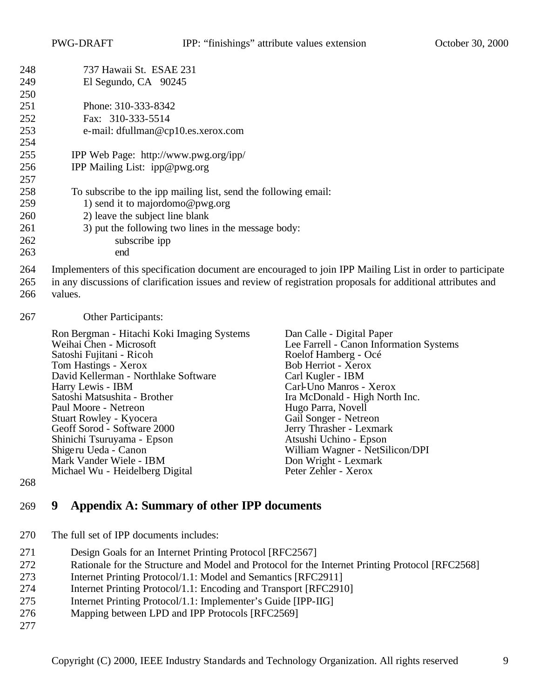| 248 | 737 Hawaii St. ESAE 231                                                                                                                                                                                                      |                                         |  |  |  |
|-----|------------------------------------------------------------------------------------------------------------------------------------------------------------------------------------------------------------------------------|-----------------------------------------|--|--|--|
| 249 | El Segundo, CA 90245                                                                                                                                                                                                         |                                         |  |  |  |
| 250 |                                                                                                                                                                                                                              |                                         |  |  |  |
| 251 | Phone: 310-333-8342                                                                                                                                                                                                          |                                         |  |  |  |
| 252 | Fax: 310-333-5514                                                                                                                                                                                                            |                                         |  |  |  |
| 253 | e-mail: dfullman@cp10.es.xerox.com                                                                                                                                                                                           |                                         |  |  |  |
| 254 |                                                                                                                                                                                                                              |                                         |  |  |  |
| 255 | IPP Web Page: http://www.pwg.org/ipp/                                                                                                                                                                                        |                                         |  |  |  |
| 256 | IPP Mailing List: ipp@pwg.org                                                                                                                                                                                                |                                         |  |  |  |
| 257 |                                                                                                                                                                                                                              |                                         |  |  |  |
| 258 | To subscribe to the ipp mailing list, send the following email:                                                                                                                                                              |                                         |  |  |  |
| 259 | 1) send it to majordomo@pwg.org                                                                                                                                                                                              |                                         |  |  |  |
| 260 | 2) leave the subject line blank                                                                                                                                                                                              |                                         |  |  |  |
| 261 | 3) put the following two lines in the message body:                                                                                                                                                                          |                                         |  |  |  |
| 262 | subscribe ipp                                                                                                                                                                                                                |                                         |  |  |  |
| 263 | end                                                                                                                                                                                                                          |                                         |  |  |  |
| 264 |                                                                                                                                                                                                                              |                                         |  |  |  |
| 265 | Implementers of this specification document are encouraged to join IPP Mailing List in order to participate<br>in any discussions of clarification issues and review of registration proposals for additional attributes and |                                         |  |  |  |
| 266 | values.                                                                                                                                                                                                                      |                                         |  |  |  |
|     |                                                                                                                                                                                                                              |                                         |  |  |  |
| 267 | Other Participants:                                                                                                                                                                                                          |                                         |  |  |  |
|     | Ron Bergman - Hitachi Koki Imaging Systems                                                                                                                                                                                   | Dan Calle - Digital Paper               |  |  |  |
|     | Weihai Chen - Microsoft                                                                                                                                                                                                      | Lee Farrell - Canon Information Systems |  |  |  |
|     | Satoshi Fujitani - Ricoh                                                                                                                                                                                                     | Roelof Hamberg - Océ                    |  |  |  |
|     | Tom Hastings - Xerox                                                                                                                                                                                                         | Bob Herriot - Xerox                     |  |  |  |
|     | David Kellerman - Northlake Software                                                                                                                                                                                         | Carl Kugler - IBM                       |  |  |  |
|     | Harry Lewis - IBM                                                                                                                                                                                                            | Carl-Uno Manros - Xerox                 |  |  |  |
|     | Satoshi Matsushita - Brother                                                                                                                                                                                                 | Ira McDonald - High North Inc.          |  |  |  |
|     | Hugo Parra, Novell<br>Paul Moore - Netreon<br>Gail Songer - Netreon<br>Stuart Rowley - Kyocera                                                                                                                               |                                         |  |  |  |
|     | Geoff Sorod - Software 2000                                                                                                                                                                                                  | Jerry Thrasher - Lexmark                |  |  |  |
|     | Shinichi Tsuruyama - Epson                                                                                                                                                                                                   | Atsushi Uchino - Epson                  |  |  |  |
|     | Shigeru Ueda - Canon                                                                                                                                                                                                         | William Wagner - NetSilicon/DPI         |  |  |  |
|     | Mark Vander Wiele - IBM                                                                                                                                                                                                      | Don Wright - Lexmark                    |  |  |  |

### **9 Appendix A: Summary of other IPP documents**

Mark Vander Wiele - IBM<br>
Michael Wu - Heidelberg Digital<br>
Peter Zehler - Xerox

The full set of IPP documents includes:

Michael Wu - Heidelberg Digital

- Design Goals for an Internet Printing Protocol [RFC2567]
- Rationale for the Structure and Model and Protocol for the Internet Printing Protocol [RFC2568]
- Internet Printing Protocol/1.1: Model and Semantics [RFC2911]
- Internet Printing Protocol/1.1: Encoding and Transport [RFC2910]
- Internet Printing Protocol/1.1: Implementer's Guide [IPP-IIG]
- Mapping between LPD and IPP Protocols [RFC2569]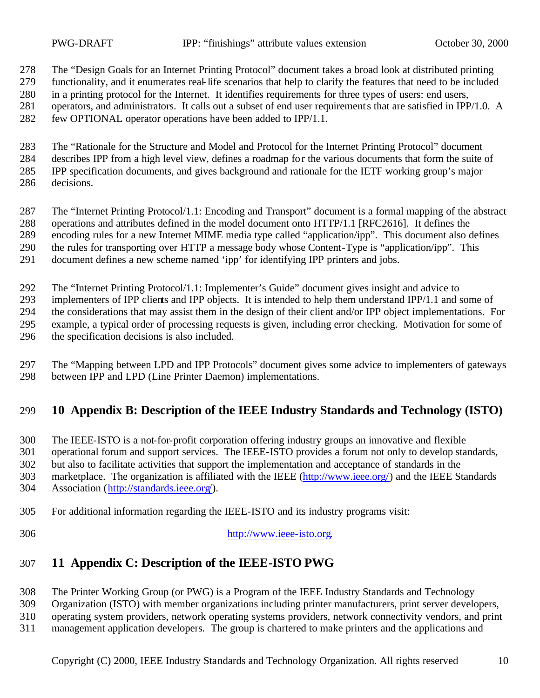The "Design Goals for an Internet Printing Protocol" document takes a broad look at distributed printing functionality, and it enumerates real-life scenarios that help to clarify the features that need to be included in a printing protocol for the Internet. It identifies requirements for three types of users: end users, operators, and administrators. It calls out a subset of end user requirements that are satisfied in IPP/1.0. A

few OPTIONAL operator operations have been added to IPP/1.1.

 The "Rationale for the Structure and Model and Protocol for the Internet Printing Protocol" document describes IPP from a high level view, defines a roadmap for the various documents that form the suite of IPP specification documents, and gives background and rationale for the IETF working group's major decisions.

 The "Internet Printing Protocol/1.1: Encoding and Transport" document is a formal mapping of the abstract operations and attributes defined in the model document onto HTTP/1.1 [RFC2616]. It defines the encoding rules for a new Internet MIME media type called "application/ipp". This document also defines the rules for transporting over HTTP a message body whose Content-Type is "application/ipp". This document defines a new scheme named 'ipp' for identifying IPP printers and jobs.

The "Internet Printing Protocol/1.1: Implementer's Guide" document gives insight and advice to

 implementers of IPP clients and IPP objects. It is intended to help them understand IPP/1.1 and some of the considerations that may assist them in the design of their client and/or IPP object implementations. For

example, a typical order of processing requests is given, including error checking. Motivation for some of

the specification decisions is also included.

 The "Mapping between LPD and IPP Protocols" document gives some advice to implementers of gateways between IPP and LPD (Line Printer Daemon) implementations.

## **10 Appendix B: Description of the IEEE Industry Standards and Technology (ISTO)**

The IEEE-ISTO is a not-for-profit corporation offering industry groups an innovative and flexible

operational forum and support services. The IEEE-ISTO provides a forum not only to develop standards,

but also to facilitate activities that support the implementation and acceptance of standards in the

marketplace. The organization is affiliated with the IEEE (http://www.ieee.org/) and the IEEE Standards

Association (http://standards.ieee.org/).

- For additional information regarding the IEEE-ISTO and its industry programs visit:
- 

http://www.ieee-isto.org.

## **11 Appendix C: Description of the IEEE-ISTO PWG**

The Printer Working Group (or PWG) is a Program of the IEEE Industry Standards and Technology

Organization (ISTO) with member organizations including printer manufacturers, print server developers,

operating system providers, network operating systems providers, network connectivity vendors, and print

management application developers. The group is chartered to make printers and the applications and